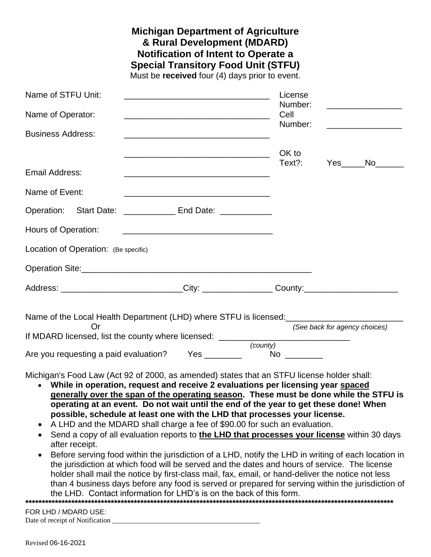|                                                                                                                                                                                                                                      | <b>Michigan Department of Agriculture</b><br>& Rural Development (MDARD)<br><b>Notification of Intent to Operate a</b><br><b>Special Transitory Food Unit (STFU)</b><br>Must be received four (4) days prior to event. |                            |                               |                                                                                              |
|--------------------------------------------------------------------------------------------------------------------------------------------------------------------------------------------------------------------------------------|------------------------------------------------------------------------------------------------------------------------------------------------------------------------------------------------------------------------|----------------------------|-------------------------------|----------------------------------------------------------------------------------------------|
| Name of STFU Unit:                                                                                                                                                                                                                   |                                                                                                                                                                                                                        | License                    |                               |                                                                                              |
| Name of Operator:                                                                                                                                                                                                                    |                                                                                                                                                                                                                        | Number:<br>Cell<br>Number: |                               | <u> 1980 - Johann Barbara, martxa a</u><br><u> 1980 - Johann Barbara, martxa alemaniar p</u> |
| <b>Business Address:</b>                                                                                                                                                                                                             |                                                                                                                                                                                                                        |                            |                               |                                                                                              |
|                                                                                                                                                                                                                                      | <u> 2000 - Jan James James Barbara, martxa amerikan peristiwa al-</u>                                                                                                                                                  | OK to                      |                               |                                                                                              |
| <b>Email Address:</b>                                                                                                                                                                                                                |                                                                                                                                                                                                                        | Text?:                     |                               | Yes No                                                                                       |
| Name of Event:                                                                                                                                                                                                                       | <u> 1980 - Jan James James Barnett, fransk politik (d. 1980)</u>                                                                                                                                                       |                            |                               |                                                                                              |
| Operation: Start Date: _______________ End Date: ____________                                                                                                                                                                        |                                                                                                                                                                                                                        |                            |                               |                                                                                              |
| Hours of Operation:                                                                                                                                                                                                                  | <u> 1999 - Johann Harry Harry Harry Harry Harry Harry Harry Harry Harry Harry Harry Harry Harry Harry Harry Harry</u>                                                                                                  |                            |                               |                                                                                              |
| Location of Operation: (Be specific)                                                                                                                                                                                                 |                                                                                                                                                                                                                        |                            |                               |                                                                                              |
| Operation Site: <u>Alexander Stephan and Contact and Contact and Contact and Contact and Contact and Contact and Contact and Contact and Contact and Contact and Contact and Contact and Contact and Contact and Contact and Con</u> |                                                                                                                                                                                                                        |                            |                               |                                                                                              |
| Address: _____________________________City: ___________________County:_____________________________                                                                                                                                  |                                                                                                                                                                                                                        |                            |                               |                                                                                              |
| <b>Or</b>                                                                                                                                                                                                                            |                                                                                                                                                                                                                        |                            | (See back for agency choices) |                                                                                              |
|                                                                                                                                                                                                                                      |                                                                                                                                                                                                                        |                            |                               |                                                                                              |
| Are you requesting a paid evaluation? Yes ________                                                                                                                                                                                   |                                                                                                                                                                                                                        | $No \ \_$                  |                               |                                                                                              |
| Michigan's Food Law (Act 92 of 2000, as amended) states that an STFU license holder shall:                                                                                                                                           |                                                                                                                                                                                                                        |                            |                               |                                                                                              |

- **While in operation, request and receive 2 evaluations per licensing year spaced generally over the span of the operating season. These must be done while the STFU is operating at an event. Do not wait until the end of the year to get these done! When possible, schedule at least one with the LHD that processes your license.**
- A LHD and the MDARD shall charge a fee of \$90.00 for such an evaluation.
- Send a copy of all evaluation reports to **the LHD that processes your license** within 30 days after receipt.
- Before serving food within the jurisdiction of a LHD, notify the LHD in writing of each location in the jurisdiction at which food will be served and the dates and hours of service. The license holder shall mail the notice by first-class mail, fax, email, or hand-deliver the notice not less than 4 business days before any food is served or prepared for serving within the jurisdiction of the LHD. Contact information for LHD's is on the back of this form. **\*\*\*\*\*\*\*\*\*\*\*\*\*\*\*\*\*\*\*\*\*\*\*\*\*\*\*\*\*\*\*\*\*\*\*\*\*\*\*\*\*\*\*\*\*\*\*\*\*\*\*\*\*\*\*\*\*\*\*\*\*\*\*\*\*\*\*\*\*\*\*\*\*\*\*\*\*\*\*\*\*\*\*\*\*\*\*\*\*\*\*\*\*\*\*\*\*\*\*\*\*\*\*\*\*\*\*\*\*\*\*\***

FOR LHD / MDARD USE: Date of receipt of Notification